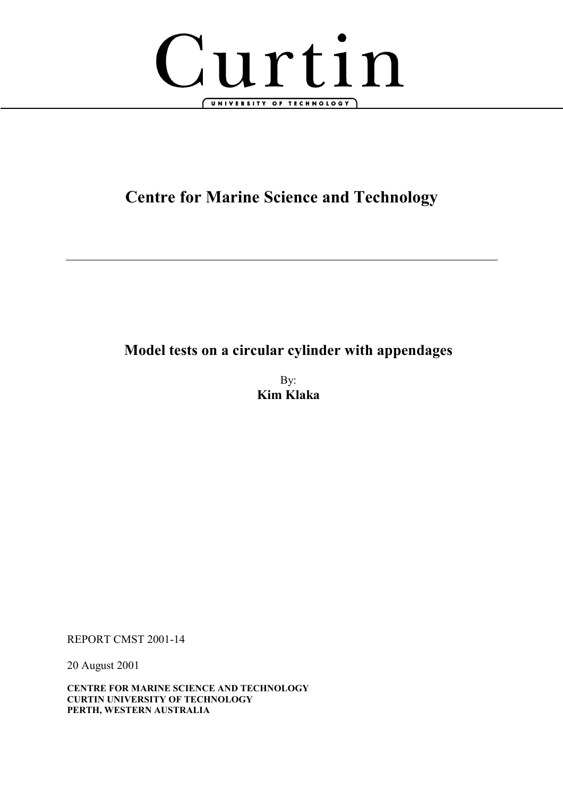

# **Centre for Marine Science and Technology**

# **Model tests on a circular cylinder with appendages**

By: **Kim Klaka** 

REPORT CMST 2001-14

20 August 2001

**CENTRE FOR MARINE SCIENCE AND TECHNOLOGY CURTIN UNIVERSITY OF TECHNOLOGY PERTH, WESTERN AUSTRALIA**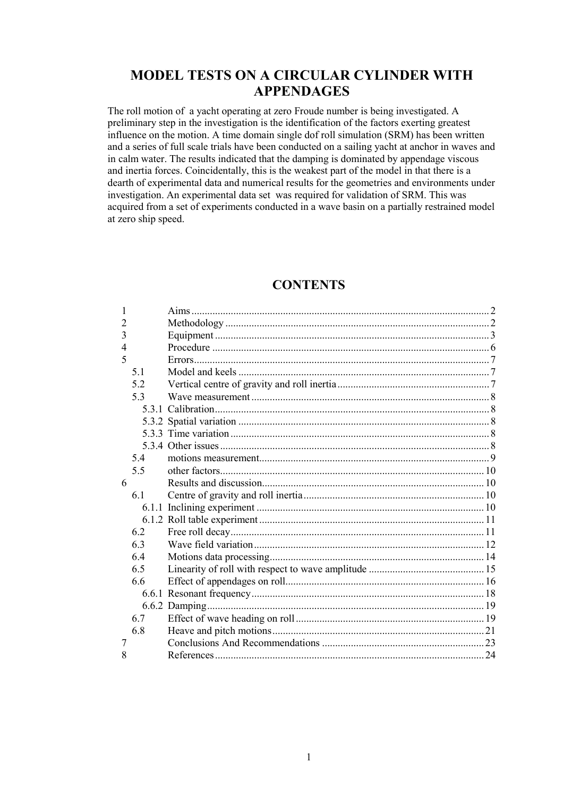# **MODEL TESTS ON A CIRCULAR CYLINDER WITH APPENDAGES**

The roll motion of a yacht operating at zero Froude number is being investigated. A preliminary step in the investigation is the identification of the factors exerting greatest influence on the motion. A time domain single dof roll simulation (SRM) has been written and a series of full scale trials have been conducted on a sailing yacht at anchor in waves and in calm water. The results indicated that the damping is dominated by appendage viscous and inertia forces. Coincidentally, this is the weakest part of the model in that there is a dearth of experimental data and numerical results for the geometries and environments under investigation. An experimental data set was required for validation of SRM. This was acquired from a set of experiments conducted in a wave basin on a partially restrained model at zero ship speed.

### **CONTENTS**

| 1 |     |  |
|---|-----|--|
| 2 |     |  |
| 3 |     |  |
| 4 |     |  |
| 5 |     |  |
|   | 5.1 |  |
|   | 5.2 |  |
|   | 5.3 |  |
|   |     |  |
|   |     |  |
|   |     |  |
|   |     |  |
|   | 5.4 |  |
|   | 55  |  |
| 6 |     |  |
|   | 6.1 |  |
|   |     |  |
|   |     |  |
|   | 6.2 |  |
|   | 6.3 |  |
|   | 6.4 |  |
|   | 6.5 |  |
|   | 66  |  |
|   |     |  |
|   |     |  |
|   | 6.7 |  |
|   | 6.8 |  |
| 7 |     |  |
| 8 |     |  |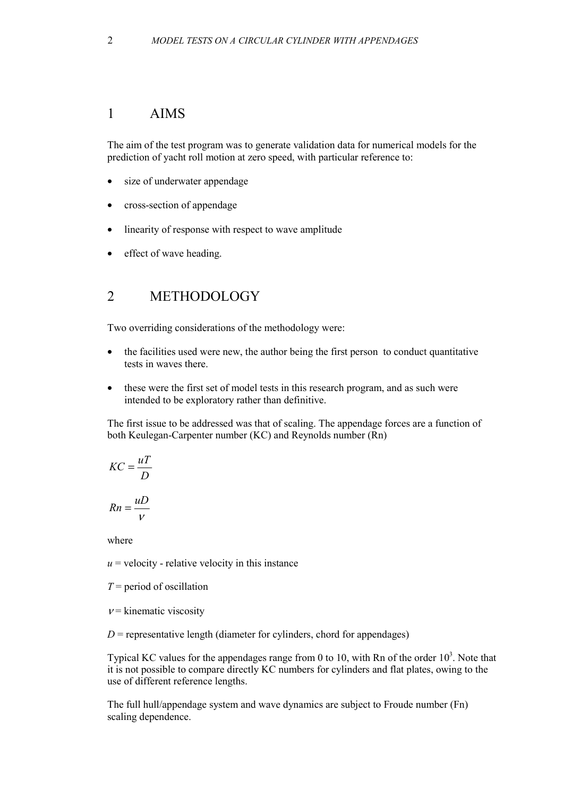## <span id="page-2-0"></span>1 AIMS

The aim of the test program was to generate validation data for numerical models for the prediction of yacht roll motion at zero speed, with particular reference to:

- size of underwater appendage
- cross-section of appendage
- linearity of response with respect to wave amplitude
- effect of wave heading.

## 2 METHODOLOGY

Two overriding considerations of the methodology were:

- the facilities used were new, the author being the first person to conduct quantitative tests in waves there.
- these were the first set of model tests in this research program, and as such were intended to be exploratory rather than definitive.

The first issue to be addressed was that of scaling. The appendage forces are a function of both Keulegan-Carpenter number (KC) and Reynolds number (Rn)

$$
KC = \frac{uT}{D}
$$

$$
Rn = \frac{uD}{V}
$$

where

 $u =$  velocity - relative velocity in this instance

- *T* = period of oscillation
- $v =$ kinematic viscosity

 $D$  = representative length (diameter for cylinders, chord for appendages)

Typical KC values for the appendages range from 0 to 10, with Rn of the order  $10<sup>3</sup>$ . Note that it is not possible to compare directly KC numbers for cylinders and flat plates, owing to the use of different reference lengths.

The full hull/appendage system and wave dynamics are subject to Froude number (Fn) scaling dependence.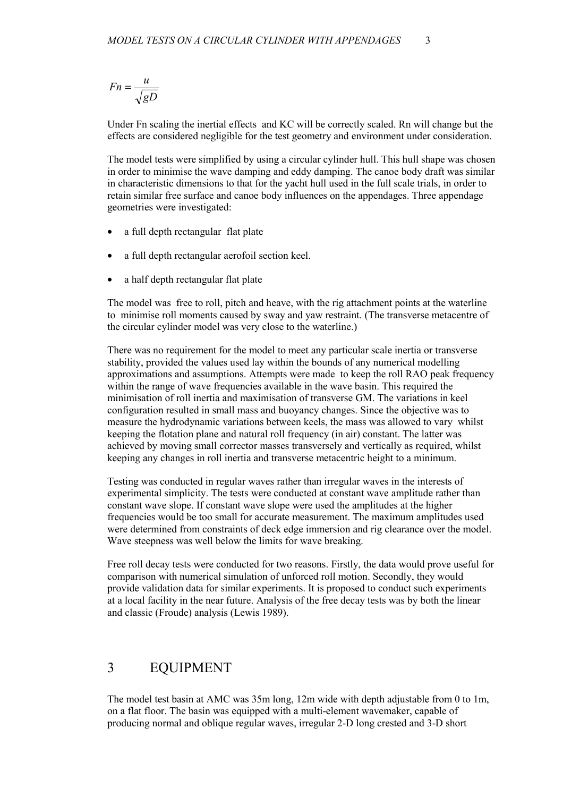<span id="page-3-0"></span>
$$
Fn = \frac{u}{\sqrt{gD}}
$$

Under Fn scaling the inertial effects and KC will be correctly scaled. Rn will change but the effects are considered negligible for the test geometry and environment under consideration.

The model tests were simplified by using a circular cylinder hull. This hull shape was chosen in order to minimise the wave damping and eddy damping. The canoe body draft was similar in characteristic dimensions to that for the yacht hull used in the full scale trials, in order to retain similar free surface and canoe body influences on the appendages. Three appendage geometries were investigated:

- a full depth rectangular flat plate
- a full depth rectangular aerofoil section keel.
- a half depth rectangular flat plate

The model was free to roll, pitch and heave, with the rig attachment points at the waterline to minimise roll moments caused by sway and yaw restraint. (The transverse metacentre of the circular cylinder model was very close to the waterline.)

There was no requirement for the model to meet any particular scale inertia or transverse stability, provided the values used lay within the bounds of any numerical modelling approximations and assumptions. Attempts were made to keep the roll RAO peak frequency within the range of wave frequencies available in the wave basin. This required the minimisation of roll inertia and maximisation of transverse GM. The variations in keel configuration resulted in small mass and buoyancy changes. Since the objective was to measure the hydrodynamic variations between keels, the mass was allowed to vary whilst keeping the flotation plane and natural roll frequency (in air) constant. The latter was achieved by moving small corrector masses transversely and vertically as required, whilst keeping any changes in roll inertia and transverse metacentric height to a minimum.

Testing was conducted in regular waves rather than irregular waves in the interests of experimental simplicity. The tests were conducted at constant wave amplitude rather than constant wave slope. If constant wave slope were used the amplitudes at the higher frequencies would be too small for accurate measurement. The maximum amplitudes used were determined from constraints of deck edge immersion and rig clearance over the model. Wave steepness was well below the limits for wave breaking.

Free roll decay tests were conducted for two reasons. Firstly, the data would prove useful for comparison with numerical simulation of unforced roll motion. Secondly, they would provide validation data for similar experiments. It is proposed to conduct such experiments at a local facility in the near future. Analysis of the free decay tests was by both the linear and classic (Froude) analysis (Lewis 1989).

### 3 EQUIPMENT

The model test basin at AMC was 35m long, 12m wide with depth adjustable from 0 to 1m, on a flat floor. The basin was equipped with a multi-element wavemaker, capable of producing normal and oblique regular waves, irregular 2-D long crested and 3-D short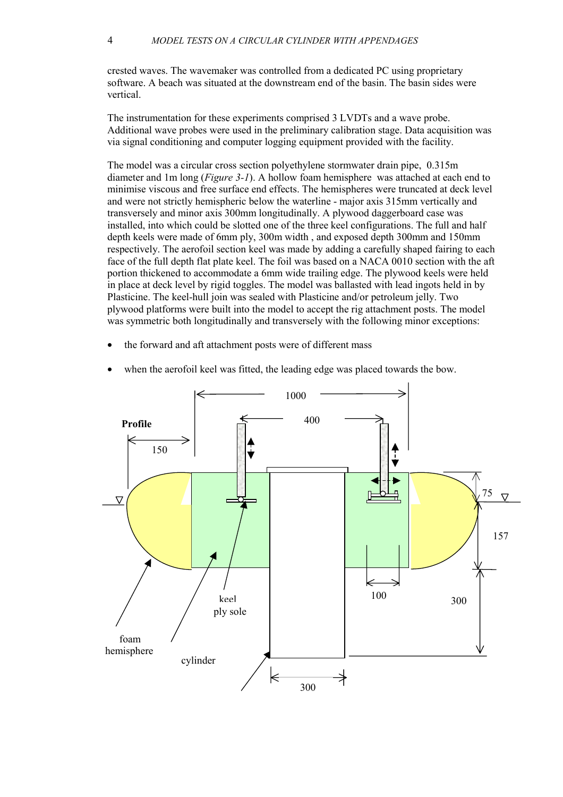crested waves. The wavemaker was controlled from a dedicated PC using proprietary software. A beach was situated at the downstream end of the basin. The basin sides were vertical.

The instrumentation for these experiments comprised 3 LVDTs and a wave probe. Additional wave probes were used in the preliminary calibration stage. Data acquisition was via signal conditioning and computer logging equipment provided with the facility.

The model was a circular cross section polyethylene stormwater drain pipe, 0.315m diameter and 1m long (*F[igure 3-1](#page-5-0)*). A hollow foam hemisphere was attached at each end to minimise viscous and free surface end effects. The hemispheres were truncated at deck level and were not strictly hemispheric below the waterline - major axis 315mm vertically and transversely and minor axis 300mm longitudinally. A plywood daggerboard case was installed, into which could be slotted one of the three keel configurations. The full and half depth keels were made of 6mm ply, 300m width , and exposed depth 300mm and 150mm respectively. The aerofoil section keel was made by adding a carefully shaped fairing to each face of the full depth flat plate keel. The foil was based on a NACA 0010 section with the aft portion thickened to accommodate a 6mm wide trailing edge. The plywood keels were held in place at deck level by rigid toggles. The model was ballasted with lead ingots held in by Plasticine. The keel-hull join was sealed with Plasticine and/or petroleum jelly. Two plywood platforms were built into the model to accept the rig attachment posts. The model was symmetric both longitudinally and transversely with the following minor exceptions:

the forward and aft attachment posts were of different mass



when the aerofoil keel was fitted, the leading edge was placed towards the bow.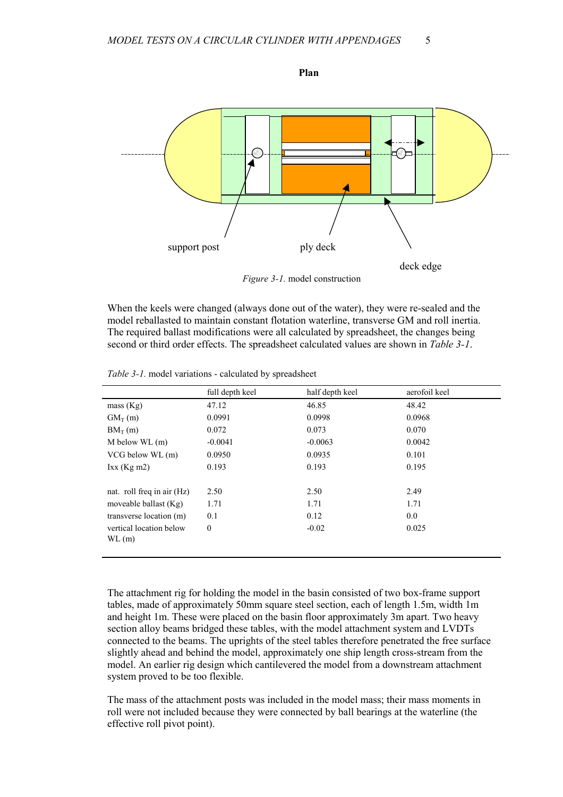<span id="page-5-0"></span>

*Figure 3-1.* model construction

When the keels were changed (always done out of the water), they were re-sealed and the model reballasted to maintain constant flotation waterline, transverse GM and roll inertia. The required ballast modifications were all calculated by spreadsheet, the changes being second or third order effects. The spreadsheet calculated values are shown in *Table 3-1*.

|                            | full depth keel | half depth keel | aerofoil keel |
|----------------------------|-----------------|-----------------|---------------|
| mass (Kg)                  | 47.12           | 46.85           | 48.42         |
| $GM_T(m)$                  | 0.0991          | 0.0998          | 0.0968        |
| $BM_T(m)$                  | 0.072           | 0.073           | 0.070         |
| $M$ below WL $(m)$         | $-0.0041$       | $-0.0063$       | 0.0042        |
| VCG below WL (m)           | 0.0950          | 0.0935          | 0.101         |
| Ixx (Kg m2)                | 0.193           | 0.193           | 0.195         |
|                            |                 |                 |               |
| nat. roll freq in air (Hz) | 2.50            | 2.50            | 2.49          |
| moveable ballast (Kg)      | 1.71            | 1.71            | 1.71          |
| transverse location (m)    | 0.1             | 0.12            | 0.0           |
| vertical location below    | $\mathbf{0}$    | $-0.02$         | 0.025         |
| WL(m)                      |                 |                 |               |
|                            |                 |                 |               |

*Table 3-1.* model variations - calculated by spreadsheet

The attachment rig for holding the model in the basin consisted of two box-frame support tables, made of approximately 50mm square steel section, each of length 1.5m, width 1m and height 1m. These were placed on the basin floor approximately 3m apart. Two heavy section alloy beams bridged these tables, with the model attachment system and LVDTs connected to the beams. The uprights of the steel tables therefore penetrated the free surface slightly ahead and behind the model, approximately one ship length cross-stream from the model. An earlier rig design which cantilevered the model from a downstream attachment system proved to be too flexible.

The mass of the attachment posts was included in the model mass; their mass moments in roll were not included because they were connected by ball bearings at the waterline (the effective roll pivot point).

**Plan**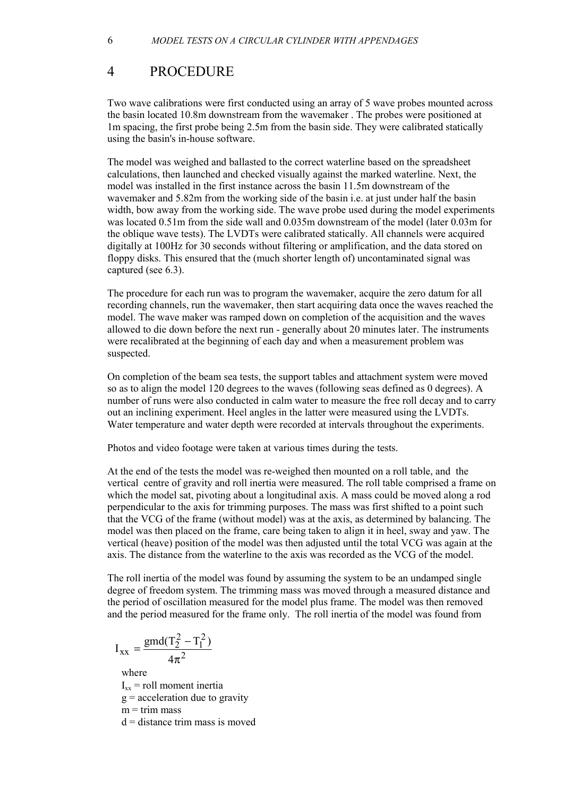# <span id="page-6-0"></span>4 PROCEDURE

Two wave calibrations were first conducted using an array of 5 wave probes mounted across the basin located 10.8m downstream from the wavemaker . The probes were positioned at 1m spacing, the first probe being 2.5m from the basin side. They were calibrated statically using the basin's in-house software.

The model was weighed and ballasted to the correct waterline based on the spreadsheet calculations, then launched and checked visually against the marked waterline. Next, the model was installed in the first instance across the basin 11.5m downstream of the wavemaker and 5.82m from the working side of the basin i.e. at just under half the basin width, bow away from the working side. The wave probe used during the model experiments was located 0.51m from the side wall and 0.035m downstream of the model (later 0.03m for the oblique wave tests). The LVDTs were calibrated statically. All channels were acquired digitally at 100Hz for 30 seconds without filtering or amplification, and the data stored on floppy disks. This ensured that the (much shorter length of) uncontaminated signal was captured (see [6.3\).](#page-12-0) 

The procedure for each run was to program the wavemaker, acquire the zero datum for all recording channels, run the wavemaker, then start acquiring data once the waves reached the model. The wave maker was ramped down on completion of the acquisition and the waves allowed to die down before the next run - generally about 20 minutes later. The instruments were recalibrated at the beginning of each day and when a measurement problem was suspected.

On completion of the beam sea tests, the support tables and attachment system were moved so as to align the model 120 degrees to the waves (following seas defined as 0 degrees). A number of runs were also conducted in calm water to measure the free roll decay and to carry out an inclining experiment. Heel angles in the latter were measured using the LVDTs. Water temperature and water depth were recorded at intervals throughout the experiments.

Photos and video footage were taken at various times during the tests.

At the end of the tests the model was re-weighed then mounted on a roll table, and the vertical centre of gravity and roll inertia were measured. The roll table comprised a frame on which the model sat, pivoting about a longitudinal axis. A mass could be moved along a rod perpendicular to the axis for trimming purposes. The mass was first shifted to a point such that the VCG of the frame (without model) was at the axis, as determined by balancing. The model was then placed on the frame, care being taken to align it in heel, sway and yaw. The vertical (heave) position of the model was then adjusted until the total VCG was again at the axis. The distance from the waterline to the axis was recorded as the VCG of the model.

The roll inertia of the model was found by assuming the system to be an undamped single degree of freedom system. The trimming mass was moved through a measured distance and the period of oscillation measured for the model plus frame. The model was then removed and the period measured for the frame only. The roll inertia of the model was found from

$$
I_{xx} = \frac{gmd(T_2^2 - T_1^2)}{4\pi^2}
$$

where

 $I_{xx}$  = roll moment inertia

 $g =$  acceleration due to gravity

 $m =$ trim mass

 $d =$  distance trim mass is moved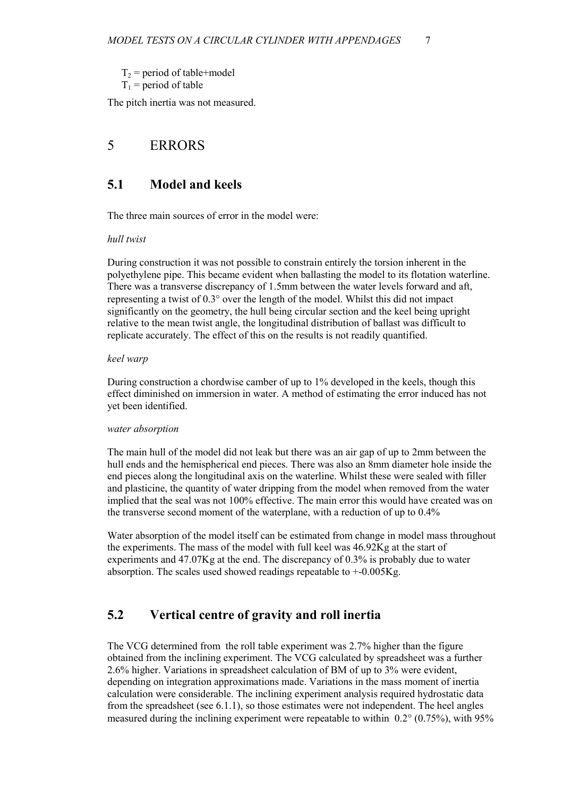<span id="page-7-0"></span> $T_2$  = period of table+model  $T_1$  = period of table

The pitch inertia was not measured.

# 5 ERRORS

## **5.1 Model and keels**

The three main sources of error in the model were:

#### *hull twist*

During construction it was not possible to constrain entirely the torsion inherent in the polyethylene pipe. This became evident when ballasting the model to its flotation waterline. There was a transverse discrepancy of 1.5mm between the water levels forward and aft, representing a twist of 0.3° over the length of the model. Whilst this did not impact significantly on the geometry, the hull being circular section and the keel being upright relative to the mean twist angle, the longitudinal distribution of ballast was difficult to replicate accurately. The effect of this on the results is not readily quantified.

#### *keel warp*

During construction a chordwise camber of up to 1% developed in the keels, though this effect diminished on immersion in water. A method of estimating the error induced has not yet been identified.

#### *water absorption*

The main hull of the model did not leak but there was an air gap of up to 2mm between the hull ends and the hemispherical end pieces. There was also an 8mm diameter hole inside the end pieces along the longitudinal axis on the waterline. Whilst these were sealed with filler and plasticine, the quantity of water dripping from the model when removed from the water implied that the seal was not 100% effective. The main error this would have created was on the transverse second moment of the waterplane, with a reduction of up to 0.4%

Water absorption of the model itself can be estimated from change in model mass throughout the experiments. The mass of the model with full keel was  $46.92Kg$  at the start of experiments and 47.07Kg at the end. The discrepancy of 0.3% is probably due to water absorption. The scales used showed readings repeatable to +-0.005Kg.

# **5.2 Vertical centre of gravity and roll inertia**

The VCG determined from the roll table experiment was 2.7% higher than the figure obtained from the inclining experiment. The VCG calculated by spreadsheet was a further 2.6% higher. Variations in spreadsheet calculation of BM of up to 3% were evident, depending on integration approximations made. Variations in the mass moment of inertia calculation were considerable. The inclining experiment analysis required hydrostatic data from the spreadsheet (see 6.[1.1\)](#page-10-0), so those estimates were not independent. The heel angles measured during the inclining experiment were repeatable to within  $0.2^{\circ}$  (0.75%), with 95%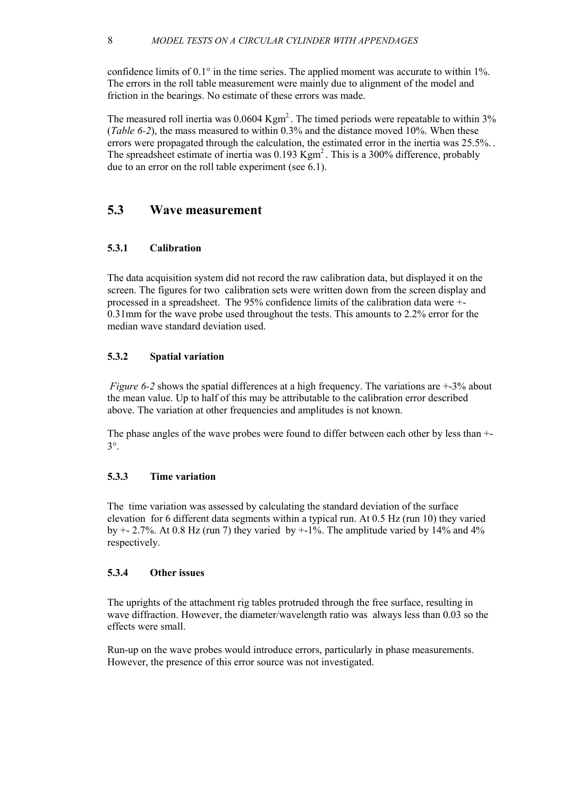<span id="page-8-0"></span>confidence limits of  $0.1^{\circ}$  in the time series. The applied moment was accurate to within 1%. The errors in the roll table measurement were mainly due to alignment of the model and friction in the bearings. No estimate of these errors was made.

The measured roll inertia was  $0.0604$  Kgm<sup>2</sup>. The timed periods were repeatable to within 3% (*[Table 6-2](#page-11-0)*), the mass measured to within 0.3% and the distance moved 10%. When these errors were propagated through the calculation, the estimated error in the inertia was  $25.5\%$ . The spreadsheet estimate of inertia was 0.193 Kgm<sup>2</sup>. This is a 300% difference, probably due to an error on the roll table experiment (see 6[.1\).](#page-10-0) 

### **5.3 Wave measurement**

#### **5.3.1 Calibration**

The data acquisition system did not record the raw calibration data, but displayed it on the screen. The figures for two calibration sets were written down from the screen display and processed in a spreadsheet. The 95% confidence limits of the calibration data were +- 0.31mm for the wave probe used throughout the tests. This amounts to 2.2% error for the median wave standard deviation used.

#### **5.3.2 Spatial variation**

*[Figure 6-2](#page-12-0)* shows the spatial differences at a high frequency. The variations are  $+3\%$  about the mean value. Up to half of this may be attributable to the calibration error described above. The variation at other frequencies and amplitudes is not known.

The phase angles of the wave probes were found to differ between each other by less than +- 3°.

#### **5.3.3 Time variation**

The time variation was assessed by calculating the standard deviation of the surface elevation for 6 different data segments within a typical run. At 0.5 Hz (run 10) they varied by  $+$  - 2.7%. At 0.8 Hz (run 7) they varied by  $+$ -1%. The amplitude varied by 14% and 4% respectively.

#### **5.3.4 Other issues**

The uprights of the attachment rig tables protruded through the free surface, resulting in wave diffraction. However, the diameter/wavelength ratio was always less than 0.03 so the effects were small.

Run-up on the wave probes would introduce errors, particularly in phase measurements. However, the presence of this error source was not investigated.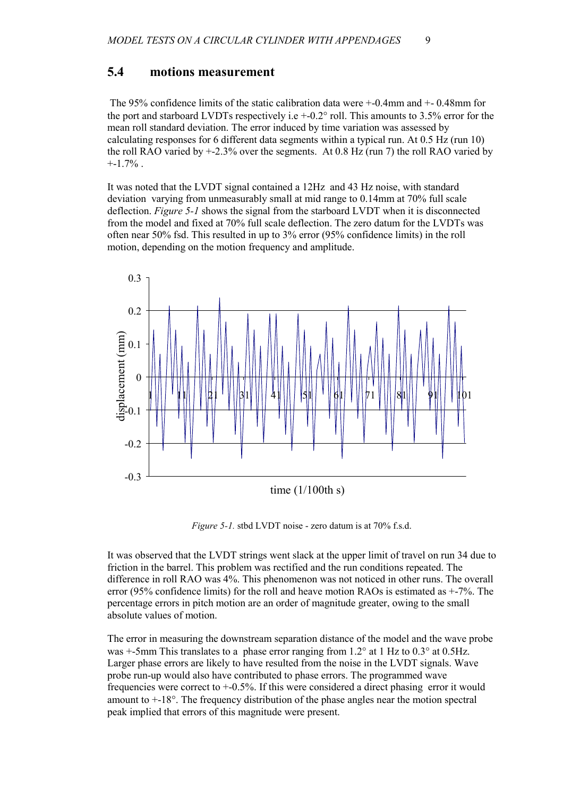### <span id="page-9-0"></span>**5.4 motions measurement**

 The 95% confidence limits of the static calibration data were +-0.4mm and +- 0.48mm for the port and starboard LVDTs respectively i.e  $+$ -0.2 $^{\circ}$  roll. This amounts to 3.5% error for the mean roll standard deviation. The error induced by time variation was assessed by calculating responses for 6 different data segments within a typical run. At 0.5 Hz (run 10) the roll RAO varied by +-2.3% over the segments. At 0.8 Hz (run 7) the roll RAO varied by  $+1.7\%$ .

It was noted that the LVDT signal contained a 12Hz and 43 Hz noise, with standard deviation varying from unmeasurably small at mid range to 0.14mm at 70% full scale deflection. *Figure 5-1* shows the signal from the starboard LVDT when it is disconnected from the model and fixed at 70% full scale deflection. The zero datum for the LVDTs was often near 50% fsd. This resulted in up to 3% error (95% confidence limits) in the roll motion, depending on the motion frequency and amplitude.



*Figure 5-1.* stbd LVDT noise - zero datum is at 70% f.s.d.

It was observed that the LVDT strings went slack at the upper limit of travel on run 34 due to friction in the barrel. This problem was rectified and the run conditions repeated. The difference in roll RAO was 4%. This phenomenon was not noticed in other runs. The overall error (95% confidence limits) for the roll and heave motion RAOs is estimated as +-7%. The percentage errors in pitch motion are an order of magnitude greater, owing to the small absolute values of motion.

The error in measuring the downstream separation distance of the model and the wave probe was  $+5$ mm This translates to a phase error ranging from 1.2° at 1 Hz to 0.3° at 0.5Hz. Larger phase errors are likely to have resulted from the noise in the LVDT signals. Wave probe run-up would also have contributed to phase errors. The programmed wave frequencies were correct to +-0.5%. If this were considered a direct phasing error it would amount to  $+18^{\circ}$ . The frequency distribution of the phase angles near the motion spectral peak implied that errors of this magnitude were present.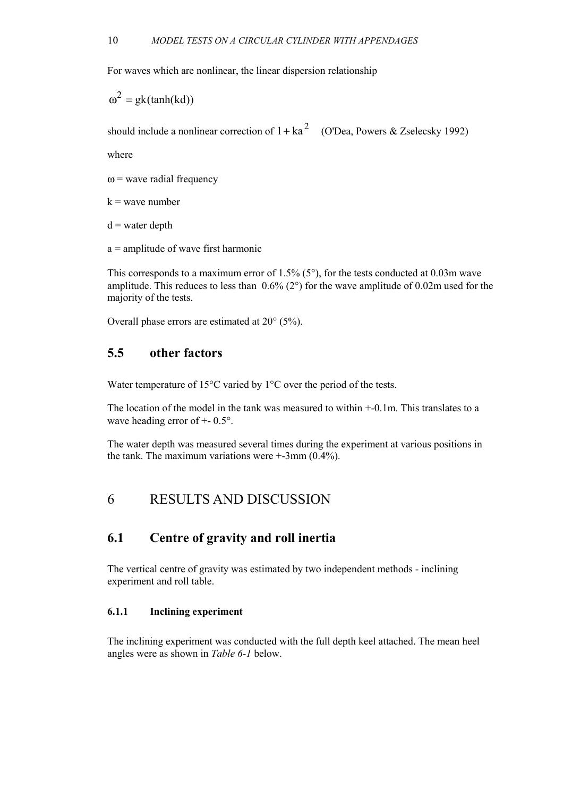<span id="page-10-0"></span>For waves which are nonlinear, the linear dispersion relationship

 $\omega^2 = g k(tanh(kd))$ 

should include a nonlinear correction of  $1+ka^2$  (O'Dea, Powers & Zselecsky 1992)

where

 $\omega$  = wave radial frequency

 $k$  = wave number

 $d$  = water depth

a = amplitude of wave first harmonic

This corresponds to a maximum error of  $1.5\%$  (5°), for the tests conducted at 0.03m wave amplitude. This reduces to less than  $0.6\%$  (2°) for the wave amplitude of 0.02m used for the majority of the tests.

Overall phase errors are estimated at 20° (5%).

### **5.5 other factors**

Water temperature of 15°C varied by 1°C over the period of the tests.

The location of the model in the tank was measured to within +-0.1m. This translates to a wave heading error of  $+$ - 0.5°.

The water depth was measured several times during the experiment at various positions in the tank. The maximum variations were  $+3$ mm (0.4%).

## 6 RESULTS AND DISCUSSION

### **6.1 Centre of gravity and roll inertia**

The vertical centre of gravity was estimated by two independent methods - inclining experiment and roll table.

#### **6.1.1 Inclining experiment**

The inclining experiment was conducted with the full depth keel attached. The mean heel angles were as shown in *T[able 6-1](#page-11-0)* below.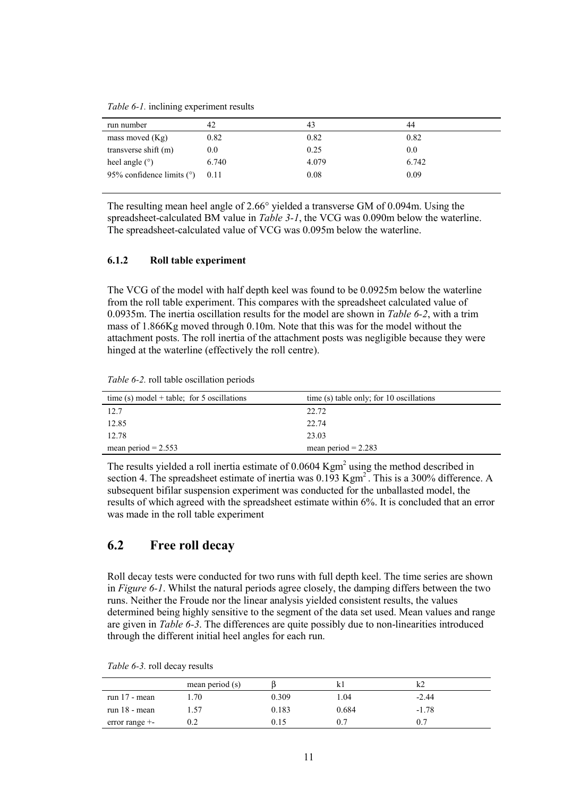<span id="page-11-0"></span>*Table 6-1.* inclining experiment results

| run number                  | 42    | 43    | 44    |
|-----------------------------|-------|-------|-------|
| mass moved $(Kg)$           | 0.82  | 0.82  | 0.82  |
| transverse shift (m)        | 0.0   | 0.25  | 0.0   |
| heel angle $(°)$            | 6.740 | 4.079 | 6.742 |
| 95% confidence limits $(°)$ | 0.11  | 0.08  | 0.09  |
|                             |       |       |       |

The resulting mean heel angle of 2.66° yielded a transverse GM of 0.094m. Using the spreadsheet-calculated BM value in *T[able 3-1](#page-5-0)*, the VCG was 0.090m below the waterline. The spreadsheet-calculated value of VCG was 0.095m below the waterline.

#### **6.1.2 Roll table experiment**

The VCG of the model with half depth keel was found to be 0.0925m below the waterline from the roll table experiment. This compares with the spreadsheet calculated value of 0.0935m. The inertia oscillation results for the model are shown in *Table 6-2*, with a trim mass of 1.866Kg moved through 0.10m. Note that this was for the model without the attachment posts. The roll inertia of the attachment posts was negligible because they were hinged at the waterline (effectively the roll centre).

| Table 6-2. roll table oscillation periods |  |  |
|-------------------------------------------|--|--|
|-------------------------------------------|--|--|

| time (s) model + table; for 5 oscillations | time (s) table only; for 10 oscillations |
|--------------------------------------------|------------------------------------------|
| 12.7                                       | 22.72                                    |
| 12.85                                      | 22.74                                    |
| 12.78                                      | 23.03                                    |
| mean period = $2.553$                      | mean period $= 2.283$                    |

The results yielded a roll inertia estimate of  $0.0604$  Kgm<sup>2</sup> using the method described in section [4. T](#page-6-0)he spreadsheet estimate of inertia was  $0.193$  Kgm<sup>2</sup>. This is a 300% difference. A subsequent bifilar suspension experiment was conducted for the unballasted model, the results of which agreed with the spreadsheet estimate within 6%. It is concluded that an error was made in the roll table experiment

## **6.2 Free roll decay**

Roll decay tests were conducted for two runs with full depth keel. The time series are shown in *[Figure 6-1](#page-12-0)*. Whilst the natural periods agree closely, the damping differs between the two runs. Neither the Froude nor the linear analysis yielded consistent results, the values determined being highly sensitive to the segment of the data set used. Mean values and range are given in *Table 6-3*. The differences are quite possibly due to non-linearities introduced through the different initial heel angles for each run.

|                   | mean period $(s)$ |       |       |         |  |
|-------------------|-------------------|-------|-------|---------|--|
| run $17$ - mean   | .70               | 0.309 | l.04  | $-2.44$ |  |
| run $18$ - mean   | .57               | 0.183 | 0.684 | $-1.78$ |  |
| error range $+$ - |                   | 0.15  | 0.7   |         |  |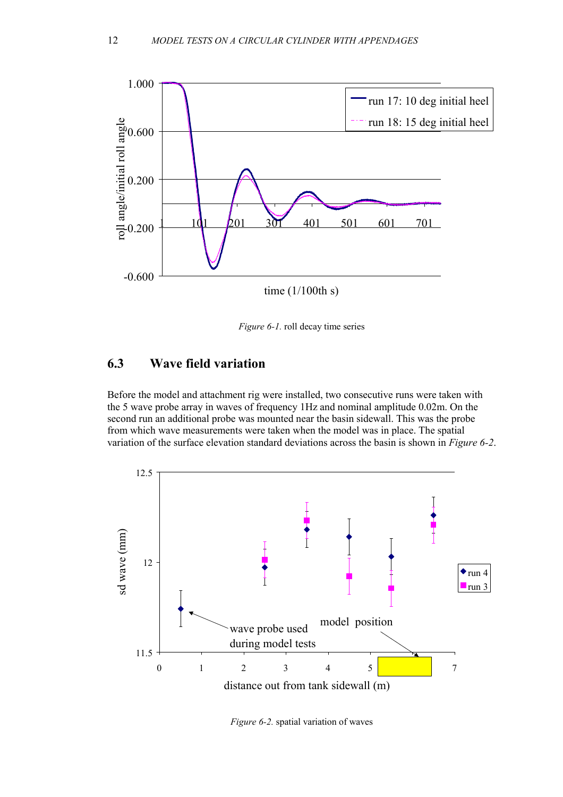<span id="page-12-0"></span>

*Figure 6-1.* roll decay time series

### **6.3 Wave field variation**

Before the model and attachment rig were installed, two consecutive runs were taken with the 5 wave probe array in waves of frequency 1Hz and nominal amplitude 0.02m. On the second run an additional probe was mounted near the basin sidewall. This was the probe from which wave measurements were taken when the model was in place. The spatial variation of the surface elevation standard deviations across the basin is shown in *Figure 6-2*.



*Figure 6-2.* spatial variation of waves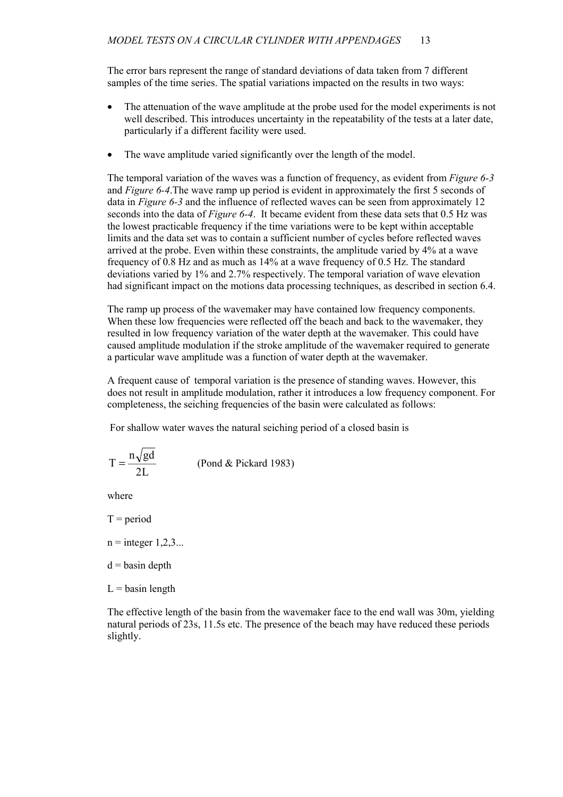The error bars represent the range of standard deviations of data taken from 7 different samples of the time series. The spatial variations impacted on the results in two ways:

- The attenuation of the wave amplitude at the probe used for the model experiments is not well described. This introduces uncertainty in the repeatability of the tests at a later date, particularly if a different facility were used.
- The wave amplitude varied significantly over the length of the model.

The temporal variation of the waves was a function of frequency, as evident from *F[igure 6-3](#page-14-0)* and *Fi[gure 6-4](#page-14-0)*.The wave ramp up period is evident in approximately the first 5 seconds of data in *[Figure 6-3](#page-14-0)* and the influence of reflected waves can be seen from approximately 12 seconds into the data of *Fi[gure 6-4](#page-14-0)*. It became evident from these data sets that 0.5 Hz was the lowest practicable frequency if the time variations were to be kept within acceptable limits and the data set was to contain a sufficient number of cycles before reflected waves arrived at the probe. Even within these constraints, the amplitude varied by 4% at a wave frequency of 0.8 Hz and as much as 14% at a wave frequency of 0.5 Hz. The standard deviations varied by 1% and 2.7% respectively. The temporal variation of wave elevation had significant impact on the motions data processing techniques, as described in section [6.4.](#page-14-0) 

The ramp up process of the wavemaker may have contained low frequency components. When these low frequencies were reflected off the beach and back to the wavemaker, they resulted in low frequency variation of the water depth at the wavemaker. This could have caused amplitude modulation if the stroke amplitude of the wavemaker required to generate a particular wave amplitude was a function of water depth at the wavemaker.

A frequent cause of temporal variation is the presence of standing waves. However, this does not result in amplitude modulation, rather it introduces a low frequency component. For completeness, the seiching frequencies of the basin were calculated as follows:

For shallow water waves the natural seiching period of a closed basin is

$$
T = \frac{n\sqrt{gd}}{2L}
$$
 (Pond & Pickard 1983)

where

- $T = period$
- $n =$  integer  $1,2,3...$
- $d =$ basin depth
- $L =$  basin length

The effective length of the basin from the wavemaker face to the end wall was 30m, yielding natural periods of 23s, 11.5s etc. The presence of the beach may have reduced these periods slightly.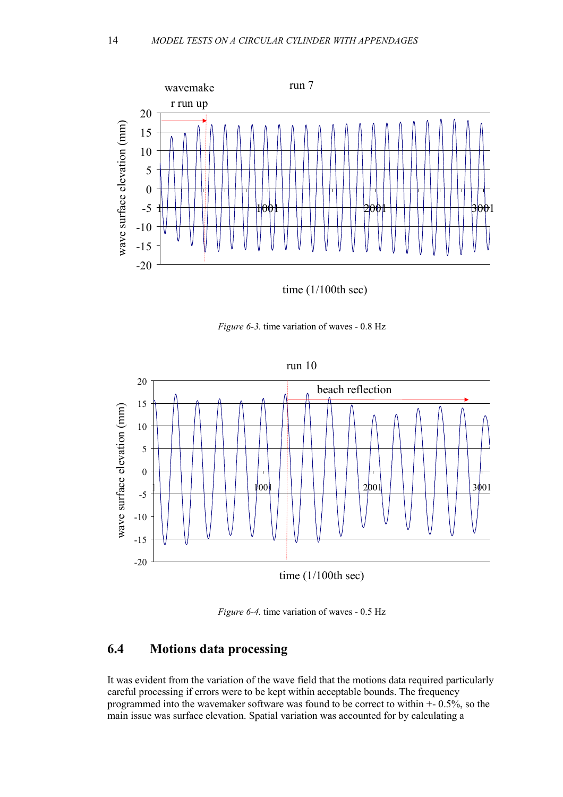<span id="page-14-0"></span>

time (1/100th sec)





*Figure 6-4.* time variation of waves - 0.5 Hz

# **6.4 Motions data processing**

It was evident from the variation of the wave field that the motions data required particularly careful processing if errors were to be kept within acceptable bounds. The frequency programmed into the wavemaker software was found to be correct to within +- 0.5%, so the main issue was surface elevation. Spatial variation was accounted for by calculating a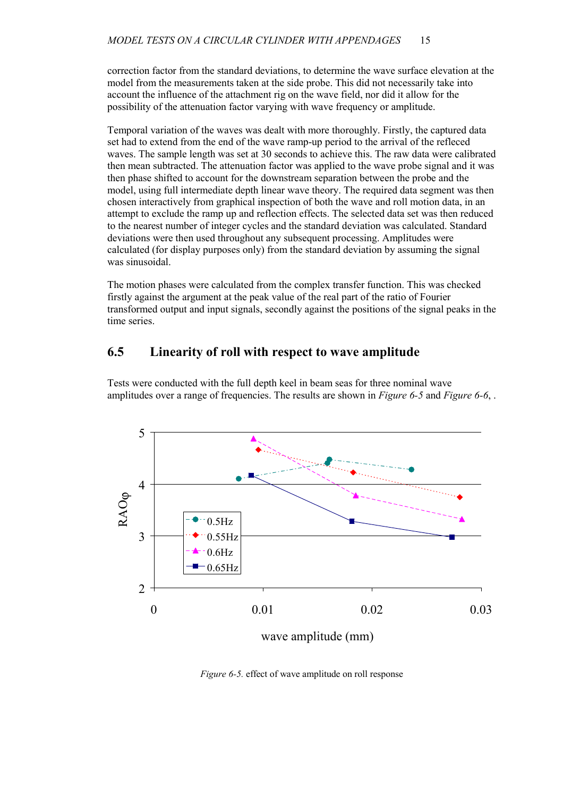<span id="page-15-0"></span>correction factor from the standard deviations, to determine the wave surface elevation at the model from the measurements taken at the side probe. This did not necessarily take into account the influence of the attachment rig on the wave field, nor did it allow for the possibility of the attenuation factor varying with wave frequency or amplitude.

Temporal variation of the waves was dealt with more thoroughly. Firstly, the captured data set had to extend from the end of the wave ramp-up period to the arrival of the refleced waves. The sample length was set at 30 seconds to achieve this. The raw data were calibrated then mean subtracted. The attenuation factor was applied to the wave probe signal and it was then phase shifted to account for the downstream separation between the probe and the model, using full intermediate depth linear wave theory. The required data segment was then chosen interactively from graphical inspection of both the wave and roll motion data, in an attempt to exclude the ramp up and reflection effects. The selected data set was then reduced to the nearest number of integer cycles and the standard deviation was calculated. Standard deviations were then used throughout any subsequent processing. Amplitudes were calculated (for display purposes only) from the standard deviation by assuming the signal was sinusoidal.

The motion phases were calculated from the complex transfer function. This was checked firstly against the argument at the peak value of the real part of the ratio of Fourier transformed output and input signals, secondly against the positions of the signal peaks in the time series.

# **6.5 Linearity of roll with respect to wave amplitude**



Tests were conducted with the full depth keel in beam seas for three nominal wave amplitudes over a range of frequencies. The results are shown in *Figure 6-5* and *[Figure 6-6](#page-16-0)*, .

wave amplitude (mm)

*Figure 6-5.* effect of wave amplitude on roll response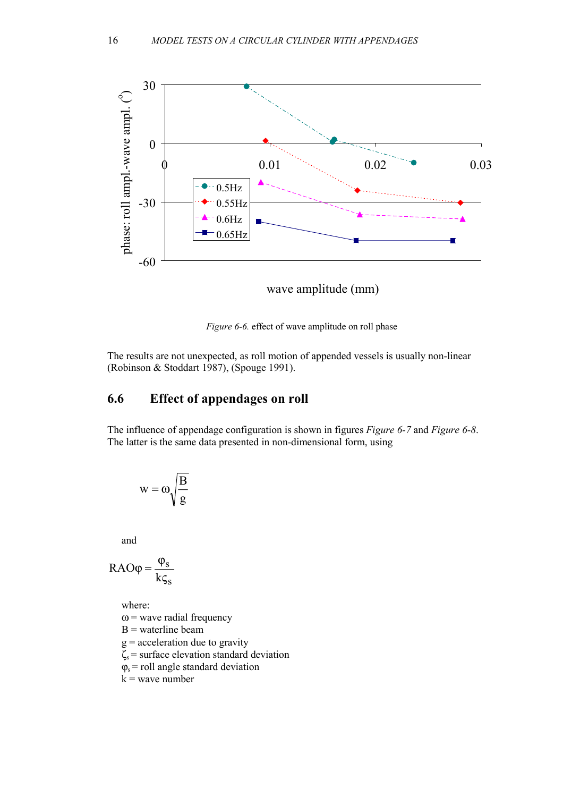<span id="page-16-0"></span>

*Figure 6-6.* effect of wave amplitude on roll phase

The results are not unexpected, as roll motion of appended vessels is usually non-linear (Robinson & Stoddart 1987), (Spouge 1991).

### **6.6 Effect of appendages on roll**

The influence of appendage configuration is shown in figures *F[igure 6-7](#page-17-0)* and *[Figure 6-8](#page-17-0)*. The latter is the same data presented in non-dimensional form, using

$$
w=\omega\sqrt{\frac{B}{g}}
$$

and

$$
RAO\varphi = \frac{\varphi_s}{k\varsigma_s}
$$

where:

 $\omega$  = wave radial frequency

 $B$  = waterline beam

- $g =$  acceleration due to gravity
- $\zeta_s$  = surface elevation standard deviation
- $\varphi_s$  = roll angle standard deviation

 $k$  = wave number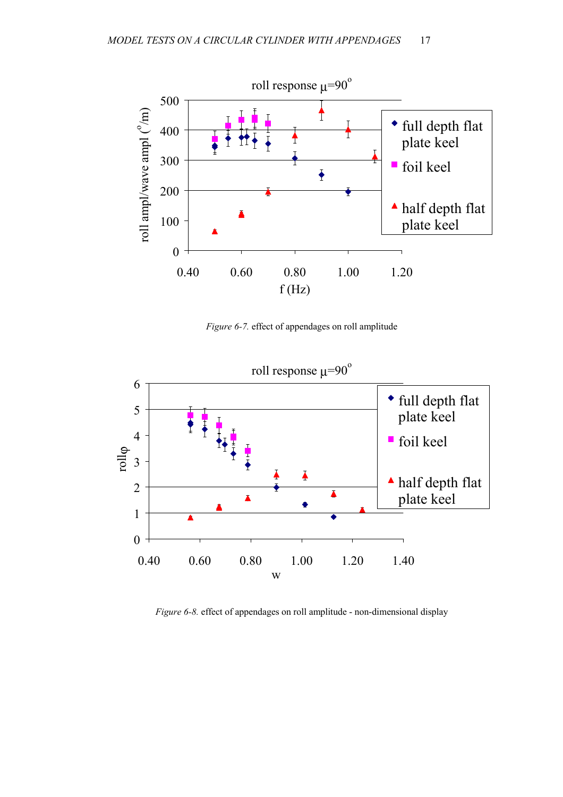<span id="page-17-0"></span>

*Figure 6-7.* effect of appendages on roll amplitude



*Figure 6-8.* effect of appendages on roll amplitude - non-dimensional display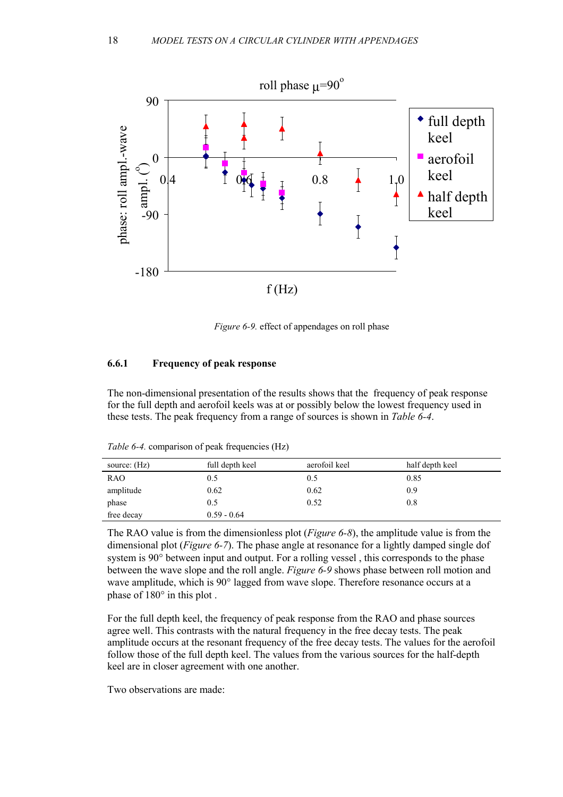<span id="page-18-0"></span>

*Figure 6-9.* effect of appendages on roll phase

#### **6.6.1 Frequency of peak response**

The non-dimensional presentation of the results shows that the frequency of peak response for the full depth and aerofoil keels was at or possibly below the lowest frequency used in these tests. The peak frequency from a range of sources is shown in *Table 6-4*.

| source: (Hz) | full depth keel | aerofoil keel | half depth keel |
|--------------|-----------------|---------------|-----------------|
| <b>RAO</b>   | 0.5             | 0.5           | 0.85            |
| amplitude    | 0.62            | 0.62          | 0.9             |
| phase        | 0.5             | 0.52          | 0.8             |
| free decay   | $0.59 - 0.64$   |               |                 |

*Table 6-4.* comparison of peak frequencies (Hz)

The RAO value is from the dimensionless plot (*[Figure 6-8](#page-17-0)*), the amplitude value is from the dimensional plot (*F[igure 6-7](#page-17-0)*). The phase angle at resonance for a lightly damped single dof system is 90° between input and output. For a rolling vessel , this corresponds to the phase between the wave slope and the roll angle. *Figure 6-9* shows phase between roll motion and wave amplitude, which is 90° lagged from wave slope. Therefore resonance occurs at a phase of 180° in this plot .

For the full depth keel, the frequency of peak response from the RAO and phase sources agree well. This contrasts with the natural frequency in the free decay tests. The peak amplitude occurs at the resonant frequency of the free decay tests. The values for the aerofoil follow those of the full depth keel. The values from the various sources for the half-depth keel are in closer agreement with one another.

Two observations are made: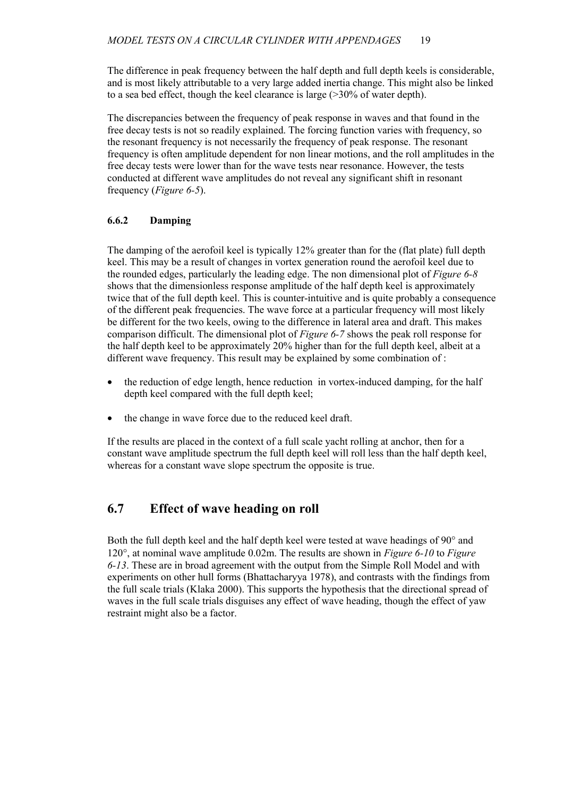<span id="page-19-0"></span>The difference in peak frequency between the half depth and full depth keels is considerable, and is most likely attributable to a very large added inertia change. This might also be linked to a sea bed effect, though the keel clearance is large (>30% of water depth).

The discrepancies between the frequency of peak response in waves and that found in the free decay tests is not so readily explained. The forcing function varies with frequency, so the resonant frequency is not necessarily the frequency of peak response. The resonant frequency is often amplitude dependent for non linear motions, and the roll amplitudes in the free decay tests were lower than for the wave tests near resonance. However, the tests conducted at different wave amplitudes do not reveal any significant shift in resonant frequency (*F[igure 6-5](#page-15-0)*).

#### **6.6.2 Damping**

The damping of the aerofoil keel is typically 12% greater than for the (flat plate) full depth keel. This may be a result of changes in vortex generation round the aerofoil keel due to the rounded edges, particularly the leading edge. The non dimensional plot of *Fi[gure 6-8](#page-17-0)* shows that the dimensionless response amplitude of the half depth keel is approximately twice that of the full depth keel. This is counter-intuitive and is quite probably a consequence of the different peak frequencies. The wave force at a particular frequency will most likely be different for the two keels, owing to the difference in lateral area and draft. This makes comparison difficult. The dimensional plot of *F[igure 6-7](#page-17-0)* shows the peak roll response for the half depth keel to be approximately 20% higher than for the full depth keel, albeit at a different wave frequency. This result may be explained by some combination of :

- the reduction of edge length, hence reduction in vortex-induced damping, for the half depth keel compared with the full depth keel;
- the change in wave force due to the reduced keel draft.

If the results are placed in the context of a full scale yacht rolling at anchor, then for a constant wave amplitude spectrum the full depth keel will roll less than the half depth keel, whereas for a constant wave slope spectrum the opposite is true.

# **6.7 Effect of wave heading on roll**

Both the full depth keel and the half depth keel were tested at wave headings of 90° and 120°, at nominal wave amplitude 0.02m. The results are shown in *[Figure 6-10](#page-20-0)* to *F[igure](#page-21-0)  [6-13](#page-21-0)*. These are in broad agreement with the output from the Simple Roll Model and with experiments on other hull forms (Bhattacharyya 1978), and contrasts with the findings from the full scale trials (Klaka 2000). This supports the hypothesis that the directional spread of waves in the full scale trials disguises any effect of wave heading, though the effect of yaw restraint might also be a factor.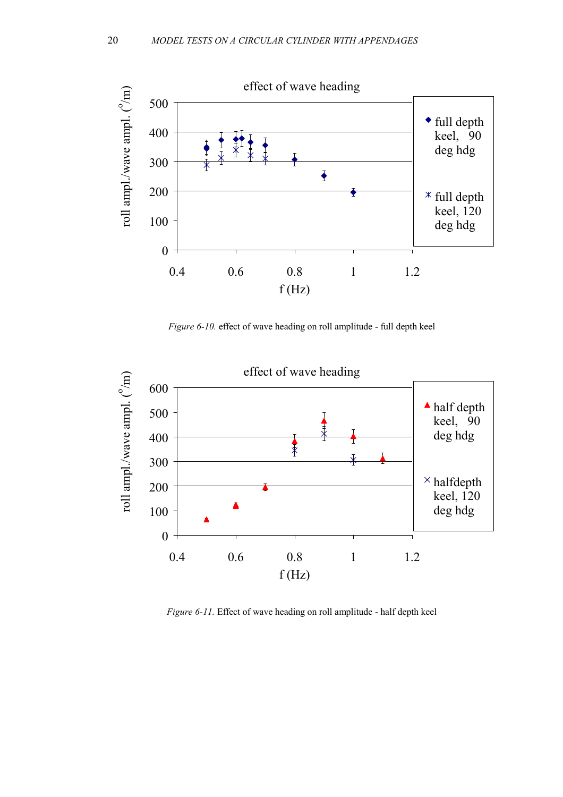<span id="page-20-0"></span>

*Figure 6-10.* effect of wave heading on roll amplitude - full depth keel



*Figure 6-11.* Effect of wave heading on roll amplitude - half depth keel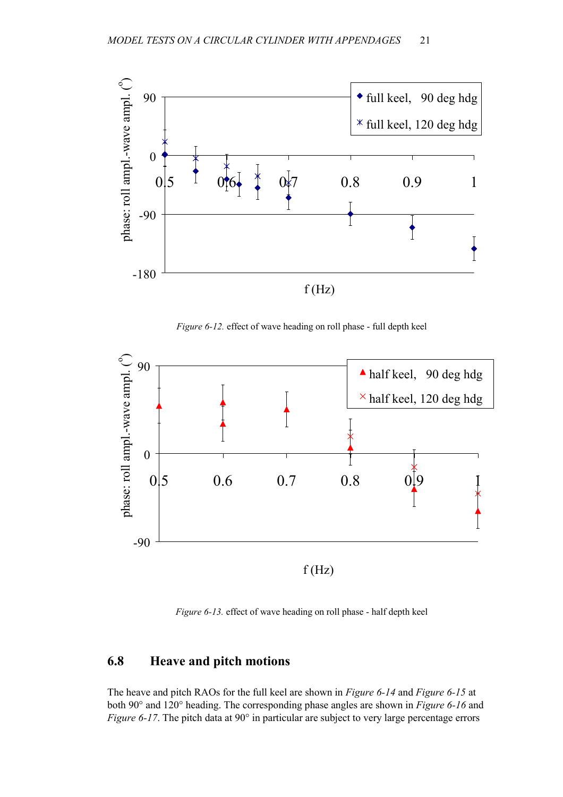<span id="page-21-0"></span>

*Figure 6-12.* effect of wave heading on roll phase - full depth keel



*Figure 6-13.* effect of wave heading on roll phase - half depth keel

### **6.8 Heave and pitch motions**

The heave and pitch RAOs for the full keel are shown in *F[igure 6-14](#page-22-0)* and *[Figure 6-15](#page-22-0)* at both 90° and 120° heading. The corresponding phase angles are shown in *[Figure 6-16](#page-23-0)* and *[Figure 6-17](#page-23-0).* The pitch data at 90° in particular are subject to very large percentage errors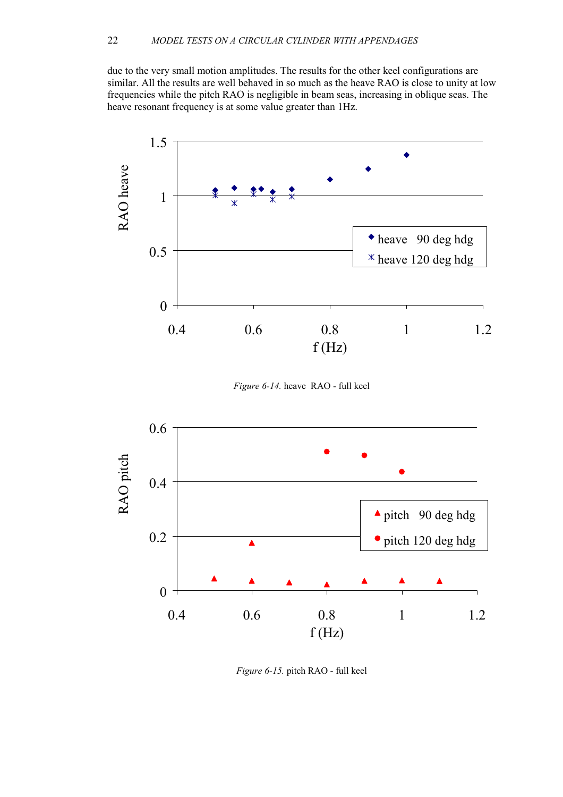<span id="page-22-0"></span>due to the very small motion amplitudes. The results for the other keel configurations are similar. All the results are well behaved in so much as the heave RAO is close to unity at low frequencies while the pitch RAO is negligible in beam seas, increasing in oblique seas. The heave resonant frequency is at some value greater than 1Hz.



*Figure 6-14.* heave RAO - full keel



*Figure 6-15.* pitch RAO - full keel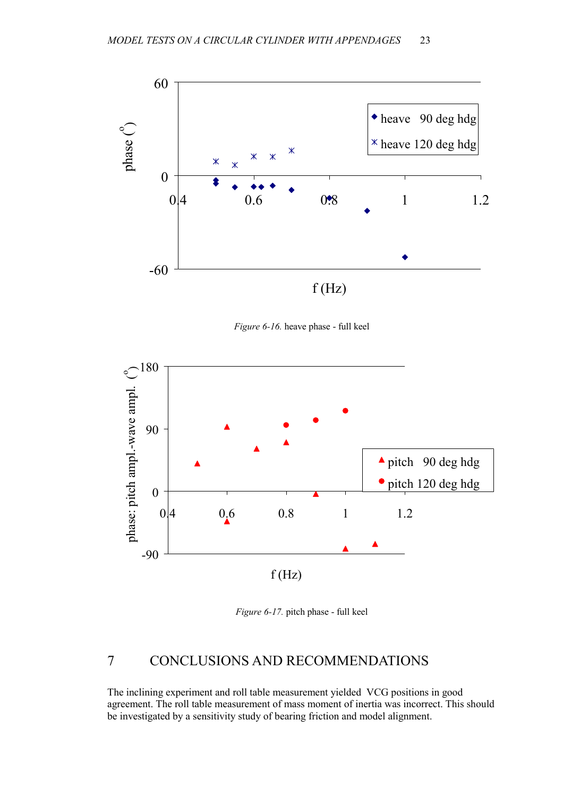<span id="page-23-0"></span>

*Figure 6-16.* heave phase - full keel



*Figure 6-17.* pitch phase - full keel

# 7 CONCLUSIONS AND RECOMMENDATIONS

The inclining experiment and roll table measurement yielded VCG positions in good agreement. The roll table measurement of mass moment of inertia was incorrect. This should be investigated by a sensitivity study of bearing friction and model alignment.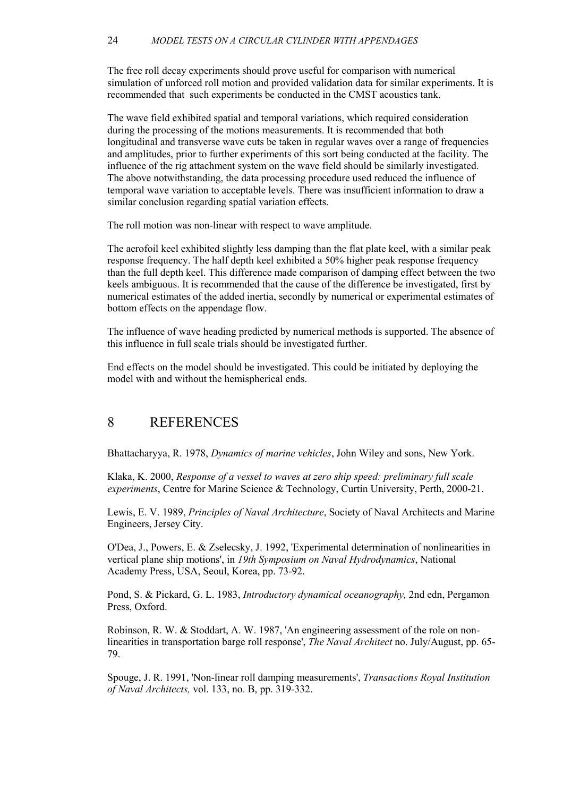<span id="page-24-0"></span>The free roll decay experiments should prove useful for comparison with numerical simulation of unforced roll motion and provided validation data for similar experiments. It is recommended that such experiments be conducted in the CMST acoustics tank.

The wave field exhibited spatial and temporal variations, which required consideration during the processing of the motions measurements. It is recommended that both longitudinal and transverse wave cuts be taken in regular waves over a range of frequencies and amplitudes, prior to further experiments of this sort being conducted at the facility. The influence of the rig attachment system on the wave field should be similarly investigated. The above notwithstanding, the data processing procedure used reduced the influence of temporal wave variation to acceptable levels. There was insufficient information to draw a similar conclusion regarding spatial variation effects.

The roll motion was non-linear with respect to wave amplitude.

The aerofoil keel exhibited slightly less damping than the flat plate keel, with a similar peak response frequency. The half depth keel exhibited a 50% higher peak response frequency than the full depth keel. This difference made comparison of damping effect between the two keels ambiguous. It is recommended that the cause of the difference be investigated, first by numerical estimates of the added inertia, secondly by numerical or experimental estimates of bottom effects on the appendage flow.

The influence of wave heading predicted by numerical methods is supported. The absence of this influence in full scale trials should be investigated further.

End effects on the model should be investigated. This could be initiated by deploying the model with and without the hemispherical ends.

# 8 REFERENCES

Bhattacharyya, R. 1978, *Dynamics of marine vehicles*, John Wiley and sons, New York.

Klaka, K. 2000, *Response of a vessel to waves at zero ship speed: preliminary full scale experiments*, Centre for Marine Science & Technology, Curtin University, Perth, 2000-21.

Lewis, E. V. 1989, *Principles of Naval Architecture*, Society of Naval Architects and Marine Engineers, Jersey City.

O'Dea, J., Powers, E. & Zselecsky, J. 1992, 'Experimental determination of nonlinearities in vertical plane ship motions', in *19th Symposium on Naval Hydrodynamics*, National Academy Press, USA, Seoul, Korea, pp. 73-92.

Pond, S. & Pickard, G. L. 1983, *Introductory dynamical oceanography,* 2nd edn, Pergamon Press, Oxford.

Robinson, R. W. & Stoddart, A. W. 1987, 'An engineering assessment of the role on nonlinearities in transportation barge roll response', *The Naval Architect* no. July/August, pp. 65- 79.

Spouge, J. R. 1991, 'Non-linear roll damping measurements', *Transactions Royal Institution of Naval Architects,* vol. 133, no. B, pp. 319-332.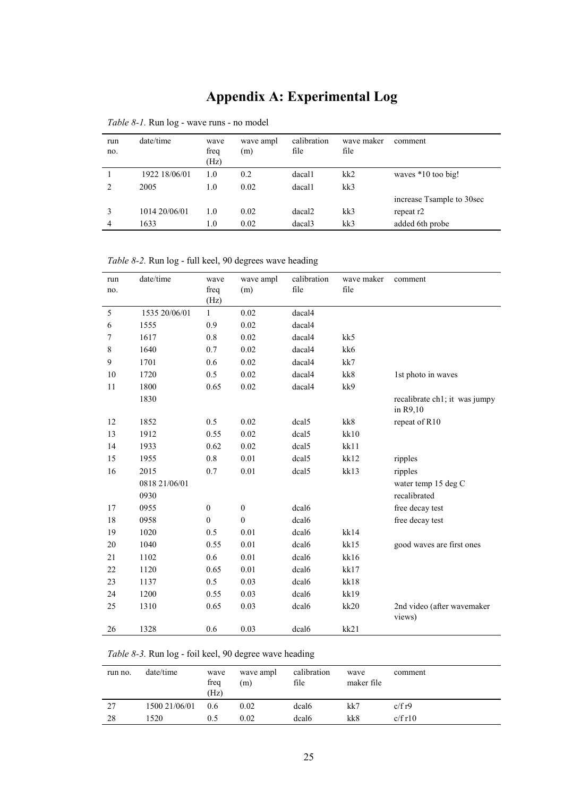# **Appendix A: Experimental Log**

| run<br>no.     | date/time     | wave<br>freq<br>(Hz) | wave ampl<br>(m) | calibration<br>file | wave maker<br>file | comment                   |
|----------------|---------------|----------------------|------------------|---------------------|--------------------|---------------------------|
|                | 1922 18/06/01 | 1.0                  | 0.2              | dacal1              | kk2                | waves $*10$ too big!      |
| $\mathfrak{D}$ | 2005          | 1.0                  | 0.02             | dacal1              | kk3                |                           |
|                |               |                      |                  |                     |                    | increase Tsample to 30sec |
|                | 1014 20/06/01 | 1.0                  | 0.02             | dacal <sub>2</sub>  | kk3                | repeat r2                 |
| 4              | 1633          | 1.0                  | 0.02             | dacal3              | kk3                | added 6th probe           |

*Table 8-1.* Run log - wave runs - no model

*Table 8-2.* Run log - full keel, 90 degrees wave heading

| run<br>no. | date/time             | wave<br>freq<br>(Hz) | wave ampl<br>(m) | calibration<br>file | wave maker<br>file | comment                                   |
|------------|-----------------------|----------------------|------------------|---------------------|--------------------|-------------------------------------------|
| 5          | 1535 20/06/01         | $\mathbf{1}$         | 0.02             | dacal4              |                    |                                           |
| 6          | 1555                  | 0.9                  | 0.02             | dacal4              |                    |                                           |
| 7          | 1617                  | 0.8                  | 0.02             | dacal4              | kk5                |                                           |
| 8          | 1640                  | 0.7                  | 0.02             | dacal4              | kk6                |                                           |
| 9          | 1701                  | 0.6                  | 0.02             | dacal4              | kk7                |                                           |
| 10         | 1720                  | 0.5                  | 0.02             | dacal4              | kk8                | 1st photo in waves                        |
| 11         | 1800                  | 0.65                 | 0.02             | dacal4              | kk9                |                                           |
|            | 1830                  |                      |                  |                     |                    | recalibrate ch1; it was jumpy<br>in R9,10 |
| 12         | 1852                  | 0.5                  | 0.02             | dcal5               | kk8                | repeat of R10                             |
| 13         | 1912                  | 0.55                 | 0.02             | dcal5               | kk10               |                                           |
| 14         | 1933                  | 0.62                 | 0.02             | dcal5               | kk11               |                                           |
| 15         | 1955                  | 0.8                  | 0.01             | dcal5               | kk12               | ripples                                   |
| 16         | 2015                  | 0.7                  | 0.01             | dcal5               | kk13               | ripples                                   |
|            | 0818 21/06/01<br>0930 |                      |                  |                     |                    | water temp 15 deg C<br>recalibrated       |
| 17         | 0955                  | $\boldsymbol{0}$     | $\boldsymbol{0}$ | dcal6               |                    | free decay test                           |
| 18         | 0958                  | $\boldsymbol{0}$     | $\boldsymbol{0}$ | dcal6               |                    | free decay test                           |
| 19         | 1020                  | 0.5                  | 0.01             | dcal6               | kk14               |                                           |
| 20         | 1040                  | 0.55                 | 0.01             | dcal6               | kk15               | good waves are first ones                 |
| 21         | 1102                  | 0.6                  | 0.01             | dcal6               | kk16               |                                           |
| 22         | 1120                  | 0.65                 | 0.01             | dcal6               | kk17               |                                           |
| 23         | 1137                  | 0.5                  | 0.03             | dcal6               | kk18               |                                           |
| 24         | 1200                  | 0.55                 | 0.03             | dcal6               | kk19               |                                           |
| 25         | 1310                  | 0.65                 | 0.03             | dcal6               | kk20               | 2nd video (after wavemaker<br>views)      |
| 26         | 1328                  | 0.6                  | 0.03             | dcal6               | kk21               |                                           |

*Table 8-3.* Run log - foil keel, 90 degree wave heading

| run no. | date/time     | wave<br>freq<br>(Hz) | wave ampl<br>(m) | calibration<br>file | wave<br>maker file | comment |
|---------|---------------|----------------------|------------------|---------------------|--------------------|---------|
| 27      | 1500 21/06/01 | 0.6                  | 0.02             | dcal <sub>6</sub>   | kk7                | c/fr9   |
| 28      | 1520          | 0.5                  | 0.02             | dcal <sub>6</sub>   | kk8                | c/fr10  |